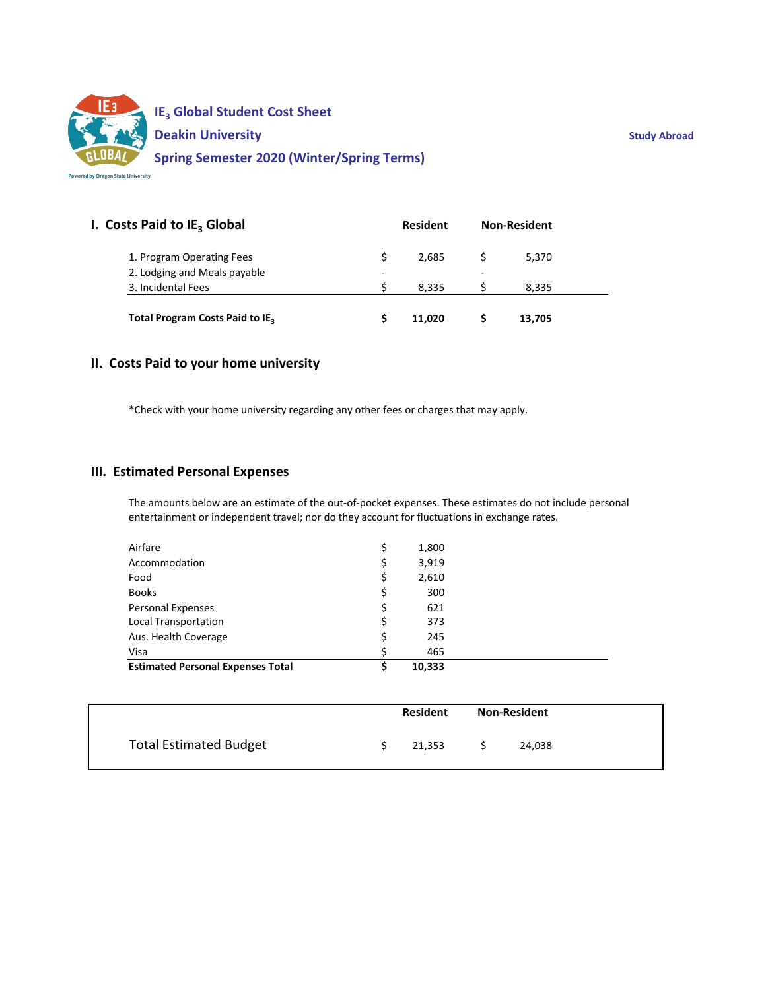

| I. Costs Paid to IE <sub>3</sub> Global     | <b>Resident</b>          |        | <b>Non-Resident</b> |        |  |
|---------------------------------------------|--------------------------|--------|---------------------|--------|--|
| 1. Program Operating Fees                   | S                        | 2.685  |                     | 5,370  |  |
| 2. Lodging and Meals payable                | $\overline{\phantom{0}}$ |        | ۰                   |        |  |
| 3. Incidental Fees                          |                          | 8.335  |                     | 8.335  |  |
| Total Program Costs Paid to IE <sub>3</sub> |                          | 11.020 |                     | 13,705 |  |

# **II. Costs Paid to your home university**

\*Check with your home university regarding any other fees or charges that may apply.

#### **III. Estimated Personal Expenses**

The amounts below are an estimate of the out‐of‐pocket expenses. These estimates do not include personal entertainment or independent travel; nor do they account for fluctuations in exchange rates.

| Airfare                                  | \$ | 1,800  |  |
|------------------------------------------|----|--------|--|
| Accommodation                            | Ş  | 3,919  |  |
| Food                                     | \$ | 2,610  |  |
| <b>Books</b>                             | \$ | 300    |  |
| Personal Expenses                        | \$ | 621    |  |
| Local Transportation                     | \$ | 373    |  |
| Aus. Health Coverage                     | \$ | 245    |  |
| Visa                                     | Ś  | 465    |  |
| <b>Estimated Personal Expenses Total</b> |    | 10,333 |  |

|                               | <b>Resident</b> |        | <b>Non-Resident</b> |
|-------------------------------|-----------------|--------|---------------------|
| <b>Total Estimated Budget</b> |                 | 21,353 | 24,038              |